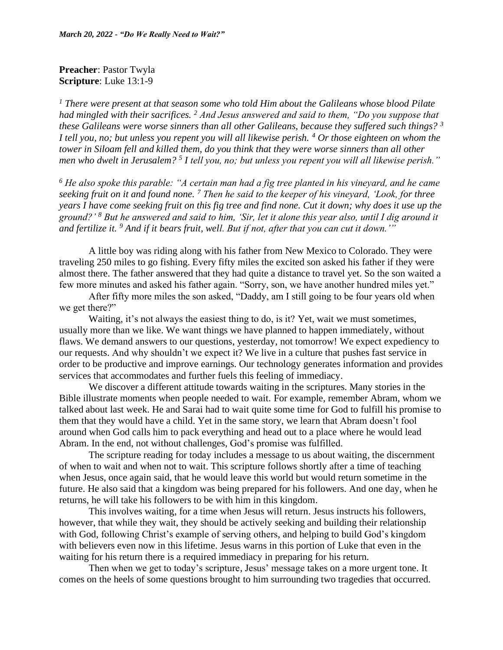**Preacher**: Pastor Twyla **Scripture**: Luke 13:1-9

*<sup>1</sup> There were present at that season some who told Him about the Galileans whose blood Pilate had mingled with their sacrifices. <sup>2</sup> And Jesus answered and said to them, "Do you suppose that these Galileans were worse sinners than all other Galileans, because they suffered such things? <sup>3</sup> I tell you, no; but unless you repent you will all likewise perish. <sup>4</sup> Or those eighteen on whom the tower in Siloam fell and killed them, do you think that they were worse sinners than all other men who dwelt in Jerusalem? <sup>5</sup> I tell you, no; but unless you repent you will all likewise perish."*

*<sup>6</sup> He also spoke this parable: "A certain man had a fig tree planted in his vineyard, and he came seeking fruit on it and found none. <sup>7</sup> Then he said to the keeper of his vineyard, 'Look, for three years I have come seeking fruit on this fig tree and find none. Cut it down; why does it use up the ground?' <sup>8</sup> But he answered and said to him, 'Sir, let it alone this year also, until I dig around it and fertilize it. <sup>9</sup> And if it bears fruit, well. But if not, after that you can cut it down.'"*

A little boy was riding along with his father from New Mexico to Colorado. They were traveling 250 miles to go fishing. Every fifty miles the excited son asked his father if they were almost there. The father answered that they had quite a distance to travel yet. So the son waited a few more minutes and asked his father again. "Sorry, son, we have another hundred miles yet."

After fifty more miles the son asked, "Daddy, am I still going to be four years old when we get there?"

Waiting, it's not always the easiest thing to do, is it? Yet, wait we must sometimes, usually more than we like. We want things we have planned to happen immediately, without flaws. We demand answers to our questions, yesterday, not tomorrow! We expect expediency to our requests. And why shouldn't we expect it? We live in a culture that pushes fast service in order to be productive and improve earnings. Our technology generates information and provides services that accommodates and further fuels this feeling of immediacy.

We discover a different attitude towards waiting in the scriptures. Many stories in the Bible illustrate moments when people needed to wait. For example, remember Abram, whom we talked about last week. He and Sarai had to wait quite some time for God to fulfill his promise to them that they would have a child. Yet in the same story, we learn that Abram doesn't fool around when God calls him to pack everything and head out to a place where he would lead Abram. In the end, not without challenges, God's promise was fulfilled.

The scripture reading for today includes a message to us about waiting, the discernment of when to wait and when not to wait. This scripture follows shortly after a time of teaching when Jesus, once again said, that he would leave this world but would return sometime in the future. He also said that a kingdom was being prepared for his followers. And one day, when he returns, he will take his followers to be with him in this kingdom.

This involves waiting, for a time when Jesus will return. Jesus instructs his followers, however, that while they wait, they should be actively seeking and building their relationship with God, following Christ's example of serving others, and helping to build God's kingdom with believers even now in this lifetime. Jesus warns in this portion of Luke that even in the waiting for his return there is a required immediacy in preparing for his return.

Then when we get to today's scripture, Jesus' message takes on a more urgent tone. It comes on the heels of some questions brought to him surrounding two tragedies that occurred.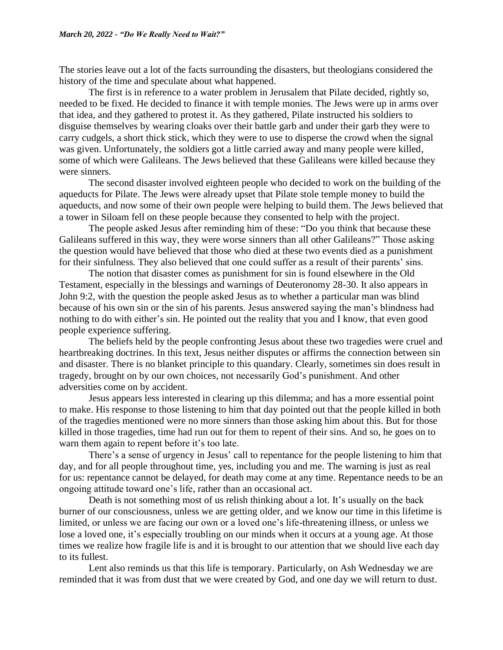The stories leave out a lot of the facts surrounding the disasters, but theologians considered the history of the time and speculate about what happened.

The first is in reference to a water problem in Jerusalem that Pilate decided, rightly so, needed to be fixed. He decided to finance it with temple monies. The Jews were up in arms over that idea, and they gathered to protest it. As they gathered, Pilate instructed his soldiers to disguise themselves by wearing cloaks over their battle garb and under their garb they were to carry cudgels, a short thick stick, which they were to use to disperse the crowd when the signal was given. Unfortunately, the soldiers got a little carried away and many people were killed, some of which were Galileans. The Jews believed that these Galileans were killed because they were sinners.

The second disaster involved eighteen people who decided to work on the building of the aqueducts for Pilate. The Jews were already upset that Pilate stole temple money to build the aqueducts, and now some of their own people were helping to build them. The Jews believed that a tower in Siloam fell on these people because they consented to help with the project.

The people asked Jesus after reminding him of these: "Do you think that because these Galileans suffered in this way, they were worse sinners than all other Galileans?" Those asking the question would have believed that those who died at these two events died as a punishment for their sinfulness. They also believed that one could suffer as a result of their parents' sins.

The notion that disaster comes as punishment for sin is found elsewhere in the Old Testament, especially in the blessings and warnings of Deuteronomy 28-30. It also appears in John 9:2, with the question the people asked Jesus as to whether a particular man was blind because of his own sin or the sin of his parents. Jesus answered saying the man's blindness had nothing to do with either's sin. He pointed out the reality that you and I know, that even good people experience suffering.

The beliefs held by the people confronting Jesus about these two tragedies were cruel and heartbreaking doctrines. In this text, Jesus neither disputes or affirms the connection between sin and disaster. There is no blanket principle to this quandary. Clearly, sometimes sin does result in tragedy, brought on by our own choices, not necessarily God's punishment. And other adversities come on by accident.

Jesus appears less interested in clearing up this dilemma; and has a more essential point to make. His response to those listening to him that day pointed out that the people killed in both of the tragedies mentioned were no more sinners than those asking him about this. But for those killed in those tragedies, time had run out for them to repent of their sins. And so, he goes on to warn them again to repent before it's too late.

There's a sense of urgency in Jesus' call to repentance for the people listening to him that day, and for all people throughout time, yes, including you and me. The warning is just as real for us: repentance cannot be delayed, for death may come at any time. Repentance needs to be an ongoing attitude toward one's life, rather than an occasional act.

Death is not something most of us relish thinking about a lot. It's usually on the back burner of our consciousness, unless we are getting older, and we know our time in this lifetime is limited, or unless we are facing our own or a loved one's life-threatening illness, or unless we lose a loved one, it's especially troubling on our minds when it occurs at a young age. At those times we realize how fragile life is and it is brought to our attention that we should live each day to its fullest.

Lent also reminds us that this life is temporary. Particularly, on Ash Wednesday we are reminded that it was from dust that we were created by God, and one day we will return to dust.